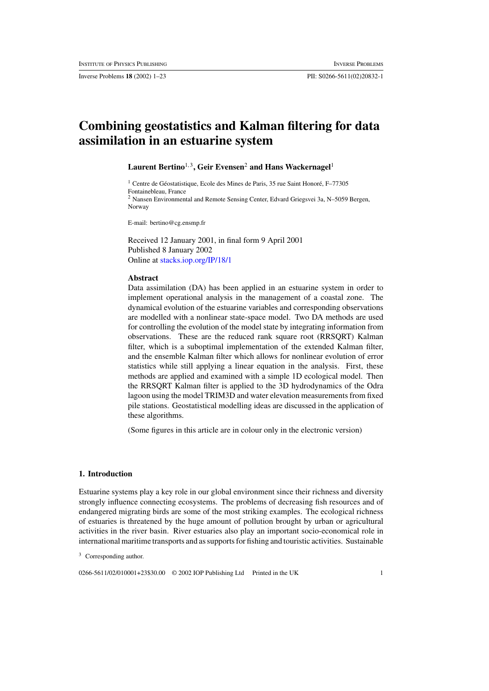Inverse Problems **18** (2002) 1–23 PII: S0266-5611(02)20832-1

# **Combining geostatistics and Kalman filtering for data assimilation in an estuarine system**

Laurent Bertino<sup>1,3</sup>, Geir Evensen<sup>2</sup> and Hans Wackernagel<sup>1</sup>

 $1$  Centre de Géostatistique, Ecole des Mines de Paris, 35 rue Saint Honoré, F-77305 Fontainebleau, France <sup>2</sup> Nansen Environmental and Remote Sensing Center, Edvard Griegsvei 3a, N–5059 Bergen, Norway

E-mail: bertino@cg.ensmp.fr

Received 12 January 2001, in final form 9 April 2001 Published 8 January 2002 Online at [stacks.iop.org/IP/18/1](http://stacks.iop.org/ip/18/1)

## **Abstract**

Data assimilation (DA) has been applied in an estuarine system in order to implement operational analysis in the management of a coastal zone. The dynamical evolution of the estuarine variables and corresponding observations are modelled with a nonlinear state-space model. Two DA methods are used for controlling the evolution of the model state by integrating information from observations. These are the reduced rank square root (RRSQRT) Kalman filter, which is a suboptimal implementation of the extended Kalman filter, and the ensemble Kalman filter which allows for nonlinear evolution of error statistics while still applying a linear equation in the analysis. First, these methods are applied and examined with a simple 1D ecological model. Then the RRSQRT Kalman filter is applied to the 3D hydrodynamics of the Odra lagoon using the model TRIM3D and water elevation measurements from fixed pile stations. Geostatistical modelling ideas are discussed in the application of these algorithms.

(Some figures in this article are in colour only in the electronic version)

## **1. Introduction**

Estuarine systems play a key role in our global environment since their richness and diversity strongly influence connecting ecosystems. The problems of decreasing fish resources and of endangered migrating birds are some of the most striking examples. The ecological richness of estuaries is threatened by the huge amount of pollution brought by urban or agricultural activities in the river basin. River estuaries also play an important socio-economical role in international maritime transports and as supports for fishing and touristic activities. Sustainable

0266-5611/02/010001+23\$30.00 © 2002 IOP Publishing Ltd Printed in the UK 1

<sup>&</sup>lt;sup>3</sup> Corresponding author.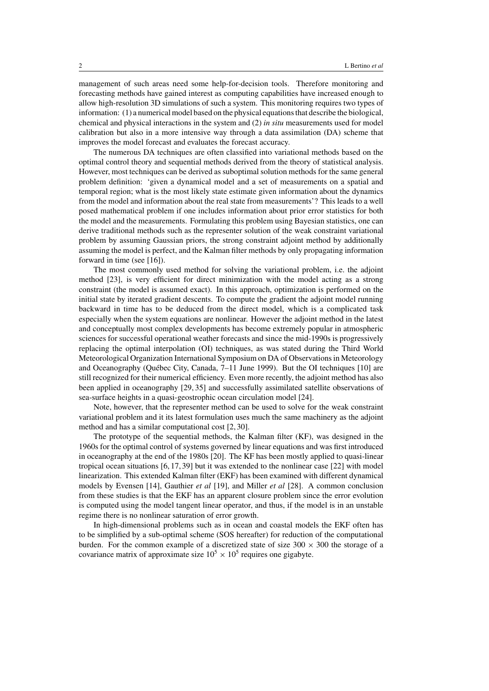management of such areas need some help-for-decision tools. Therefore monitoring and forecasting methods have gained interest as computing capabilities have increased enough to allow high-resolution 3D simulations of such a system. This monitoring requires two types of information: (1) a numerical model based on the physical equations that describe the biological, chemical and physical interactions in the system and (2) *in situ* measurements used for model calibration but also in a more intensive way through a data assimilation (DA) scheme that improves the model forecast and evaluates the forecast accuracy.

The numerous DA techniques are often classified into variational methods based on the optimal control theory and sequential methods derived from the theory of statistical analysis. However, most techniques can be derived as suboptimal solution methods for the same general problem definition: 'given a dynamical model and a set of measurements on a spatial and temporal region; what is the most likely state estimate given information about the dynamics from the model and information about the real state from measurements'? This leads to a well posed mathematical problem if one includes information about prior error statistics for both the model and the measurements. Formulating this problem using Bayesian statistics, one can derive traditional methods such as the representer solution of the weak constraint variational problem by assuming Gaussian priors, the strong constraint adjoint method by additionally assuming the model is perfect, and the Kalman filter methods by only propagating information forward in time (see [16]).

The most commonly used method for solving the variational problem, i.e. the adjoint method [23], is very efficient for direct minimization with the model acting as a strong constraint (the model is assumed exact). In this approach, optimization is performed on the initial state by iterated gradient descents. To compute the gradient the adjoint model running backward in time has to be deduced from the direct model, which is a complicated task especially when the system equations are nonlinear. However the adjoint method in the latest and conceptually most complex developments has become extremely popular in atmospheric sciences for successful operational weather forecasts and since the mid-1990s is progressively replacing the optimal interpolation (OI) techniques, as was stated during the Third World Meteorological Organization International Symposium on DA of Observations in Meteorology and Oceanography (Québec City, Canada, 7–11 June 1999). But the OI techniques [10] are still recognized for their numerical efficiency. Even more recently, the adjoint method has also been applied in oceanography [29, 35] and successfully assimilated satellite observations of sea-surface heights in a quasi-geostrophic ocean circulation model [24].

Note, however, that the representer method can be used to solve for the weak constraint variational problem and it its latest formulation uses much the same machinery as the adjoint method and has a similar computational cost [2, 30].

The prototype of the sequential methods, the Kalman filter (KF), was designed in the 1960s for the optimal control of systems governed by linear equations and was first introduced in oceanography at the end of the 1980s [20]. The KF has been mostly applied to quasi-linear tropical ocean situations [6, 17, 39] but it was extended to the nonlinear case [22] with model linearization. This extended Kalman filter (EKF) has been examined with different dynamical models by Evensen [14], Gauthier *et al* [19], and Miller *et al* [28]. A common conclusion from these studies is that the EKF has an apparent closure problem since the error evolution is computed using the model tangent linear operator, and thus, if the model is in an unstable regime there is no nonlinear saturation of error growth.

In high-dimensional problems such as in ocean and coastal models the EKF often has to be simplified by a sub-optimal scheme (SOS hereafter) for reduction of the computational burden. For the common example of a discretized state of size  $300 \times 300$  the storage of a covariance matrix of approximate size  $10^5 \times 10^5$  requires one gigabyte.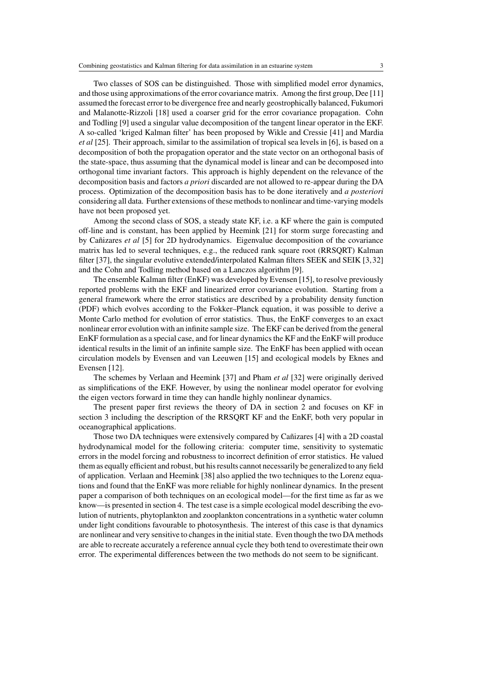Two classes of SOS can be distinguished. Those with simplified model error dynamics, and those using approximations of the error covariance matrix. Among the first group, Dee [11] assumed the forecast error to be divergence free and nearly geostrophically balanced, Fukumori and Malanotte-Rizzoli [18] used a coarser grid for the error covariance propagation. Cohn and Todling [9] used a singular value decomposition of the tangent linear operator in the EKF. A so-called 'kriged Kalman filter' has been proposed by Wikle and Cressie [41] and Mardia *et al* [25]. Their approach, similar to the assimilation of tropical sea levels in [6], is based on a decomposition of both the propagation operator and the state vector on an orthogonal basis of the state-space, thus assuming that the dynamical model is linear and can be decomposed into orthogonal time invariant factors. This approach is highly dependent on the relevance of the decomposition basis and factors *a priori* discarded are not allowed to re-appear during the DA process. Optimization of the decomposition basis has to be done iteratively and *a posteriori* considering all data. Further extensions of these methods to nonlinear and time-varying models have not been proposed yet.

Among the second class of SOS, a steady state KF, i.e. a KF where the gain is computed off-line and is constant, has been applied by Heemink [21] for storm surge forecasting and by Cañizares *et al* [5] for 2D hydrodynamics. Eigenvalue decomposition of the covariance matrix has led to several techniques, e.g., the reduced rank square root (RRSQRT) Kalman filter [37], the singular evolutive extended/interpolated Kalman filters SEEK and SEIK [3,32] and the Cohn and Todling method based on a Lanczos algorithm [9].

The ensemble Kalman filter (EnKF) was developed by Evensen [15], to resolve previously reported problems with the EKF and linearized error covariance evolution. Starting from a general framework where the error statistics are described by a probability density function (PDF) which evolves according to the Fokker–Planck equation, it was possible to derive a Monte Carlo method for evolution of error statistics. Thus, the EnKF converges to an exact nonlinear error evolution with an infinite sample size. The EKF can be derived from the general EnKF formulation as a special case, and for linear dynamics the KF and the EnKF will produce identical results in the limit of an infinite sample size. The EnKF has been applied with ocean circulation models by Evensen and van Leeuwen [15] and ecological models by Eknes and Evensen [12].

The schemes by Verlaan and Heemink [37] and Pham *et al* [32] were originally derived as simplifications of the EKF. However, by using the nonlinear model operator for evolving the eigen vectors forward in time they can handle highly nonlinear dynamics.

The present paper first reviews the theory of DA in section 2 and focuses on KF in section 3 including the description of the RRSQRT KF and the EnKF, both very popular in oceanographical applications.

Those two DA techniques were extensively compared by Cañizares [4] with a 2D coastal hydrodynamical model for the following criteria: computer time, sensitivity to systematic errors in the model forcing and robustness to incorrect definition of error statistics. He valued them as equally efficient and robust, but his results cannot necessarily be generalized to any field of application. Verlaan and Heemink [38] also applied the two techniques to the Lorenz equations and found that the EnKF was more reliable for highly nonlinear dynamics. In the present paper a comparison of both techniques on an ecological model—for the first time as far as we know—is presented in section 4. The test case is a simple ecological model describing the evolution of nutrients, phytoplankton and zooplankton concentrations in a synthetic water column under light conditions favourable to photosynthesis. The interest of this case is that dynamics are nonlinear and very sensitive to changes in the initial state. Even though the two DA methods are able to recreate accurately a reference annual cycle they both tend to overestimate their own error. The experimental differences between the two methods do not seem to be significant.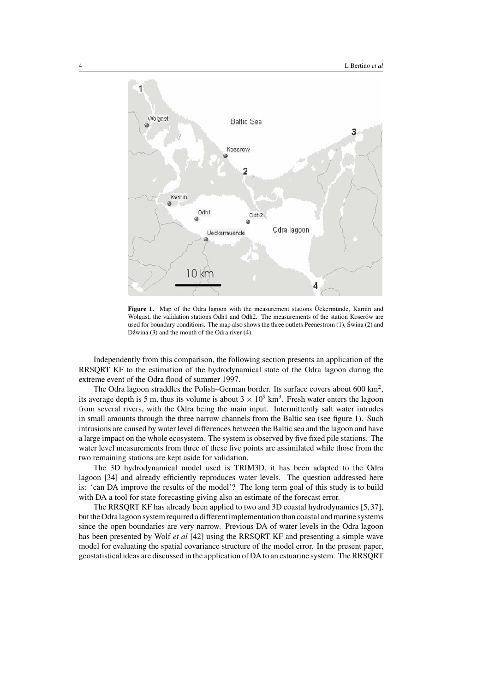

**Figure 1.** Map of the Odra lagoon with the measurement stations Uckermunde, Karnin and Wolgast, the validation stations Odh1 and Odh2. The measurements of the station Koserów are used for boundary conditions. The map also shows the three outlets Peenestrom  $(1)$ , Świna  $(2)$  and Dźwina  $(3)$  and the mouth of the Odra river  $(4)$ .

Independently from this comparison, the following section presents an application of the RRSQRT KF to the estimation of the hydrodynamical state of the Odra lagoon during the extreme event of the Odra flood of summer 1997.

The Odra lagoon straddles the Polish–German border. Its surface covers about  $600 \text{ km}^2$ , its average depth is 5 m, thus its volume is about  $3 \times 10^9$  km<sup>3</sup>. Fresh water enters the lagoon from several rivers, with the Odra being the main input. Intermittently salt water intrudes in small amounts through the three narrow channels from the Baltic sea (see figure 1). Such intrusions are caused by water level differences between the Baltic sea and the lagoon and have a large impact on the whole ecosystem. The system is observed by five fixed pile stations. The water level measurements from three of these five points are assimilated while those from the two remaining stations are kept aside for validation.

The 3D hydrodynamical model used is TRIM3D, it has been adapted to the Odra lagoon [34] and already efficiently reproduces water levels. The question addressed here is: 'can DA improve the results of the model'? The long term goal of this study is to build with DA a tool for state forecasting giving also an estimate of the forecast error.

The RRSQRT KF has already been applied to two and 3D coastal hydrodynamics [5,37], but the Odra lagoon system required a different implementation than coastal and marine systems since the open boundaries are very narrow. Previous DA of water levels in the Odra lagoon has been presented by Wolf *et al* [42] using the RRSQRT KF and presenting a simple wave model for evaluating the spatial covariance structure of the model error. In the present paper, geostatistical ideas are discussed in the application of DA to an estuarine system. The RRSQRT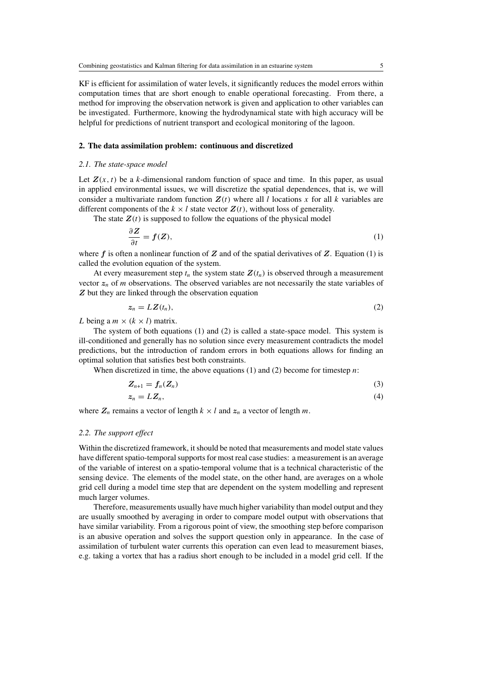KF is efficient for assimilation of water levels, it significantly reduces the model errors within computation times that are short enough to enable operational forecasting. From there, a method for improving the observation network is given and application to other variables can be investigated. Furthermore, knowing the hydrodynamical state with high accuracy will be helpful for predictions of nutrient transport and ecological monitoring of the lagoon.

#### **2. The data assimilation problem: continuous and discretized**

## *2.1. The state-space model*

Let  $Z(x, t)$  be a k-dimensional random function of space and time. In this paper, as usual in applied environmental issues, we will discretize the spatial dependences, that is, we will consider a multivariate random function  $Z(t)$  where all l locations x for all k variables are different components of the  $k \times l$  state vector  $\mathbf{Z}(t)$ , without loss of generality.

The state  $Z(t)$  is supposed to follow the equations of the physical model

$$
\frac{\partial Z}{\partial t} = f(Z),\tag{1}
$$

where  $f$  is often a nonlinear function of  $Z$  and of the spatial derivatives of  $Z$ . Equation (1) is called the evolution equation of the system.

At every measurement step  $t_n$  the system state  $Z(t_n)$  is observed through a measurement vector  $z_n$  of m observations. The observed variables are not necessarily the state variables of *Z* but they are linked through the observation equation

$$
z_n = LZ(t_n), \tag{2}
$$

L being a  $m \times (k \times l)$  matrix.

The system of both equations (1) and (2) is called a state-space model. This system is ill-conditioned and generally has no solution since every measurement contradicts the model predictions, but the introduction of random errors in both equations allows for finding an optimal solution that satisfies best both constraints.

When discretized in time, the above equations  $(1)$  and  $(2)$  become for timestep n:

$$
Z_{n+1} = f_n(Z_n) \tag{3}
$$

$$
z_n = LZ_n,\tag{4}
$$

where  $Z_n$  remains a vector of length  $k \times l$  and  $z_n$  a vector of length m.

#### *2.2. The support effect*

Within the discretized framework, it should be noted that measurements and model state values have different spatio-temporal supports for most real case studies: a measurement is an average of the variable of interest on a spatio-temporal volume that is a technical characteristic of the sensing device. The elements of the model state, on the other hand, are averages on a whole grid cell during a model time step that are dependent on the system modelling and represent much larger volumes.

Therefore, measurements usually have much higher variability than model output and they are usually smoothed by averaging in order to compare model output with observations that have similar variability. From a rigorous point of view, the smoothing step before comparison is an abusive operation and solves the support question only in appearance. In the case of assimilation of turbulent water currents this operation can even lead to measurement biases, e.g. taking a vortex that has a radius short enough to be included in a model grid cell. If the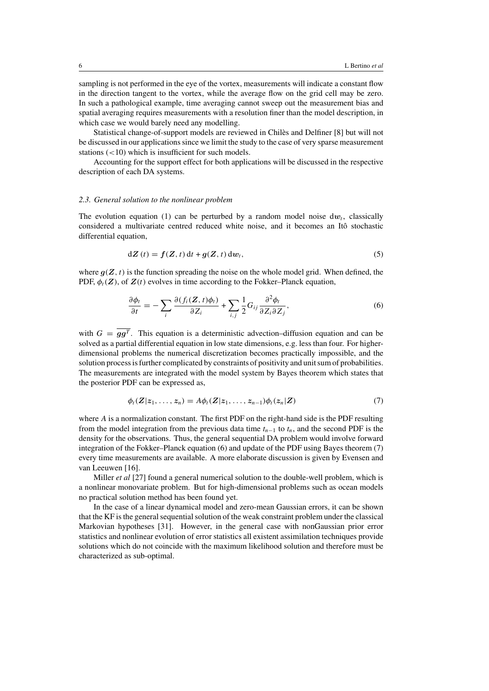sampling is not performed in the eye of the vortex, measurements will indicate a constant flow in the direction tangent to the vortex, while the average flow on the grid cell may be zero. In such a pathological example, time averaging cannot sweep out the measurement bias and spatial averaging requires measurements with a resolution finer than the model description, in which case we would barely need any modelling.

Statistical change-of-support models are reviewed in Chiles and Delfiner [8] but will not ` be discussed in our applications since we limit the study to the case of very sparse measurement stations  $\left($  < 10) which is insufficient for such models.

Accounting for the support effect for both applications will be discussed in the respective description of each DA systems.

#### *2.3. General solution to the nonlinear problem*

The evolution equation (1) can be perturbed by a random model noise  $dw_t$ , classically considered a multivariate centred reduced white noise, and it becomes an Itô stochastic differential equation,

$$
dZ(t) = f(Z, t) dt + g(Z, t) dw_t,
$$
\n(5)

where  $q(Z, t)$  is the function spreading the noise on the whole model grid. When defined, the PDF,  $\phi_t(\mathbf{Z})$ , of  $\mathbf{Z}(t)$  evolves in time according to the Fokker–Planck equation,

$$
\frac{\partial \phi_t}{\partial t} = -\sum_i \frac{\partial (f_i(\mathbf{Z}, t)\phi_t)}{\partial Z_i} + \sum_{i,j} \frac{1}{2} G_{ij} \frac{\partial^2 \phi_t}{\partial Z_i \partial Z_j},\tag{6}
$$

with  $G = \overline{g g^T}$ . This equation is a deterministic advection–diffusion equation and can be solved as a partial differential equation in low state dimensions, e.g. less than four. For higherdimensional problems the numerical discretization becomes practically impossible, and the solution process is further complicated by constraints of positivity and unit sum of probabilities. The measurements are integrated with the model system by Bayes theorem which states that the posterior PDF can be expressed as,

$$
\phi_t(\mathbf{Z}|\mathbf{z}_1,\ldots,\mathbf{z}_n)=A\phi_t(\mathbf{Z}|\mathbf{z}_1,\ldots,\mathbf{z}_{n-1})\phi_t(\mathbf{z}_n|\mathbf{Z})
$$
\n(7)

where A is a normalization constant. The first PDF on the right-hand side is the PDF resulting from the model integration from the previous data time  $t_{n-1}$  to  $t_n$ , and the second PDF is the density for the observations. Thus, the general sequential DA problem would involve forward integration of the Fokker–Planck equation (6) and update of the PDF using Bayes theorem (7) every time measurements are available. A more elaborate discussion is given by Evensen and van Leeuwen [16].

Miller *et al* [27] found a general numerical solution to the double-well problem, which is a nonlinear monovariate problem. But for high-dimensional problems such as ocean models no practical solution method has been found yet.

In the case of a linear dynamical model and zero-mean Gaussian errors, it can be shown that the KF is the general sequential solution of the weak constraint problem under the classical Markovian hypotheses [31]. However, in the general case with nonGaussian prior error statistics and nonlinear evolution of error statistics all existent assimilation techniques provide solutions which do not coincide with the maximum likelihood solution and therefore must be characterized as sub-optimal.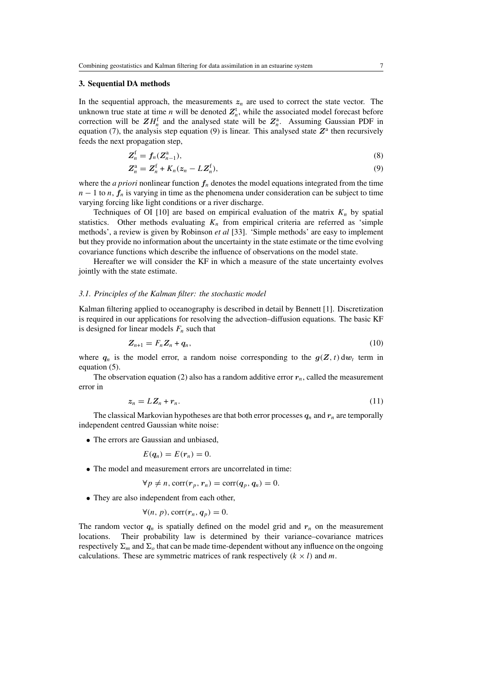## **3. Sequential DA methods**

In the sequential approach, the measurements  $z_n$  are used to correct the state vector. The unknown true state at time *n* will be denoted  $Z<sub>n</sub><sup>t</sup>$ , while the associated model forecast before correction will be  $ZH_n^f$  and the analysed state will be  $Z_n^a$ . Assuming Gaussian PDF in equation (7), the analysis step equation (9) is linear. This analysed state  $Z^a$  then recursively feeds the next propagation step,

$$
Z_n^f = f_n(Z_{n-1}^a),\tag{8}
$$

$$
\mathbf{Z}_n^{\mathbf{a}} = \mathbf{Z}_n^{\mathbf{f}} + K_n(z_n - L\mathbf{Z}_n^{\mathbf{f}}),\tag{9}
$$

where the *a priori* nonlinear function  $f_n$  denotes the model equations integrated from the time  $n-1$  to n,  $f_n$  is varying in time as the phenomena under consideration can be subject to time varying forcing like light conditions or a river discharge.

Techniques of OI [10] are based on empirical evaluation of the matrix  $K_n$  by spatial statistics. Other methods evaluating  $K_n$  from empirical criteria are referred as 'simple methods', a review is given by Robinson *et al* [33]. 'Simple methods' are easy to implement but they provide no information about the uncertainty in the state estimate or the time evolving covariance functions which describe the influence of observations on the model state.

Hereafter we will consider the KF in which a measure of the state uncertainty evolves jointly with the state estimate.

#### *3.1. Principles of the Kalman filter: the stochastic model*

Kalman filtering applied to oceanography is described in detail by Bennett [1]. Discretization is required in our applications for resolving the advection–diffusion equations. The basic KF is designed for linear models  $F_n$  such that

$$
\mathbf{Z}_{n+1} = F_n \mathbf{Z}_n + \mathbf{q}_n,\tag{10}
$$

where  $q_n$  is the model error, a random noise corresponding to the  $g(Z, t) dw_t$  term in equation (5).

The observation equation (2) also has a random additive error  $r_n$ , called the measurement error in

$$
z_n = LZ_n + r_n. \tag{11}
$$

The classical Markovian hypotheses are that both error processes  $q_n$  and  $r_n$  are temporally independent centred Gaussian white noise:

• The errors are Gaussian and unbiased,

$$
E(q_n)=E(r_n)=0.
$$

• The model and measurement errors are uncorrelated in time:

$$
\forall p \neq n, \text{corr}(r_p, r_n) = \text{corr}(q_p, q_n) = 0.
$$

• They are also independent from each other,

$$
\forall (n, p), \text{corr}(r_n, q_p) = 0.
$$

The random vector  $q_n$  is spatially defined on the model grid and  $r_n$  on the measurement locations. Their probability law is determined by their variance–covariance matrices respectively  $\Sigma_m$  and  $\Sigma_o$  that can be made time-dependent without any influence on the ongoing calculations. These are symmetric matrices of rank respectively  $(k \times l)$  and m.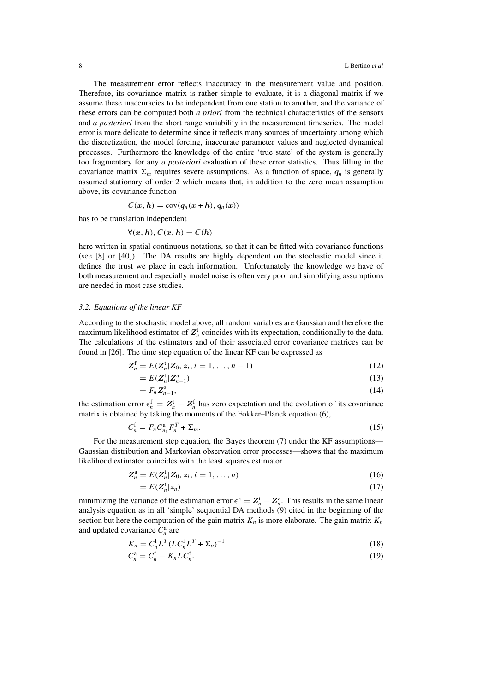The measurement error reflects inaccuracy in the measurement value and position. Therefore, its covariance matrix is rather simple to evaluate, it is a diagonal matrix if we assume these inaccuracies to be independent from one station to another, and the variance of these errors can be computed both *a priori* from the technical characteristics of the sensors and *a posteriori* from the short range variability in the measurement timeseries. The model error is more delicate to determine since it reflects many sources of uncertainty among which the discretization, the model forcing, inaccurate parameter values and neglected dynamical processes. Furthermore the knowledge of the entire 'true state' of the system is generally too fragmentary for any *a posteriori* evaluation of these error statistics. Thus filling in the covariance matrix  $\Sigma_m$  requires severe assumptions. As a function of space,  $q_n$  is generally assumed stationary of order 2 which means that, in addition to the zero mean assumption above, its covariance function

$$
C(x, h) = \text{cov}(q_n(x+h), q_n(x))
$$

has to be translation independent

$$
\forall (x, h), C(x, h) = C(h)
$$

here written in spatial continuous notations, so that it can be fitted with covariance functions (see [8] or [40]). The DA results are highly dependent on the stochastic model since it defines the trust we place in each information. Unfortunately the knowledge we have of both measurement and especially model noise is often very poor and simplifying assumptions are needed in most case studies.

## *3.2. Equations of the linear KF*

According to the stochastic model above, all random variables are Gaussian and therefore the maximum likelihood estimator of  $Z_n^t$  coincides with its expectation, conditionally to the data. The calculations of the estimators and of their associated error covariance matrices can be found in [26]. The time step equation of the linear KF can be expressed as

$$
Z_n^f = E(Z_n^t | Z_0, z_i, i = 1, ..., n-1)
$$
\n(12)

$$
=E(Z_n^t|Z_{n-1}^a)
$$
\n<sup>(13)</sup>

$$
=F_nZ_{n-1}^a,\tag{14}
$$

the estimation error  $\epsilon_n^f = Z_n^t - Z_n^f$  has zero expectation and the evolution of its covariance matrix is obtained by taking the moments of the Fokker–Planck equation (6),

$$
C_n^{\text{f}} = F_n C_{n_1}^{\text{a}} F_n^T + \Sigma_m. \tag{15}
$$

For the measurement step equation, the Bayes theorem (7) under the KF assumptions— Gaussian distribution and Markovian observation error processes—shows that the maximum likelihood estimator coincides with the least squares estimator

$$
Z_n^a = E(Z_n^t | Z_0, z_i, i = 1, ..., n)
$$
 (16)

$$
=E(Z_n^t|z_n) \tag{17}
$$

minimizing the variance of the estimation error  $\epsilon^a = Z_n^t - Z_n^a$ . This results in the same linear analysis equation as in all 'simple' sequential DA methods (9) cited in the beginning of the section but here the computation of the gain matrix  $K_n$  is more elaborate. The gain matrix  $K_n$ and updated covariance  $C_n^a$  are

$$
K_n = C_n^{\text{f}} L^T (L C_n^{\text{f}} L^T + \Sigma_o)^{-1}
$$
\n
$$
\tag{18}
$$

$$
C_n^a = C_n^f - K_n L C_n^f. \tag{19}
$$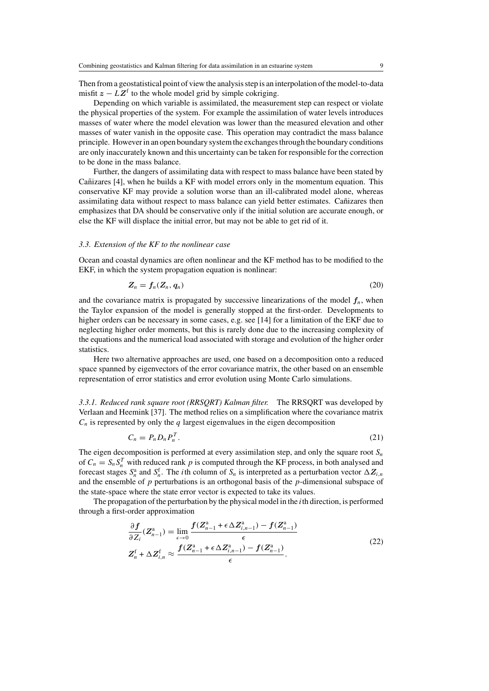Depending on which variable is assimilated, the measurement step can respect or violate the physical properties of the system. For example the assimilation of water levels introduces masses of water where the model elevation was lower than the measured elevation and other masses of water vanish in the opposite case. This operation may contradict the mass balance principle. However in an open boundary system the exchanges through the boundary conditions are only inaccurately known and this uncertainty can be taken for responsible for the correction to be done in the mass balance.

Further, the dangers of assimilating data with respect to mass balance have been stated by Cantizares [4], when he builds a KF with model errors only in the momentum equation. This conservative KF may provide a solution worse than an ill-calibrated model alone, whereas assimilating data without respect to mass balance can yield better estimates. Cañizares then emphasizes that DA should be conservative only if the initial solution are accurate enough, or else the KF will displace the initial error, but may not be able to get rid of it.

## *3.3. Extension of the KF to the nonlinear case*

Ocean and coastal dynamics are often nonlinear and the KF method has to be modified to the EKF, in which the system propagation equation is nonlinear:

$$
Z_n = f_n(Z_n, q_n) \tag{20}
$$

and the covariance matrix is propagated by successive linearizations of the model  $f_n$ , when the Taylor expansion of the model is generally stopped at the first-order. Developments to higher orders can be necessary in some cases, e.g. see [14] for a limitation of the EKF due to neglecting higher order moments, but this is rarely done due to the increasing complexity of the equations and the numerical load associated with storage and evolution of the higher order statistics.

Here two alternative approaches are used, one based on a decomposition onto a reduced space spanned by eigenvectors of the error covariance matrix, the other based on an ensemble representation of error statistics and error evolution using Monte Carlo simulations.

*3.3.1. Reduced rank square root (RRSQRT) Kalman filter.* The RRSQRT was developed by Verlaan and Heemink [37]. The method relies on a simplification where the covariance matrix  $C_n$  is represented by only the q largest eigenvalues in the eigen decomposition

$$
C_n = P_n D_n P_n^T. \tag{21}
$$

The eigen decomposition is performed at every assimilation step, and only the square root  $S_n$ of  $C_n = S_n S_n^T$  with reduced rank p is computed through the KF process, in both analysed and forecast stages  $S_n^a$  and  $S_n^f$ . The *i*th column of  $S_n$  is interpreted as a perturbation vector  $\Delta Z_{i,n}$ and the ensemble of  $p$  perturbations is an orthogonal basis of the  $p$ -dimensional subspace of the state-space where the state error vector is expected to take its values.

The propagation of the perturbation by the physical model in the  $i$ th direction, is performed through a first-order approximation

$$
\frac{\partial f}{\partial Z_i}(Z_{n-1}^a) = \lim_{\epsilon \to 0} \frac{f(Z_{n-1}^a + \epsilon \Delta Z_{i,n-1}^a) - f(Z_{n-1}^a)}{\epsilon}
$$
  

$$
Z_n^f + \Delta Z_{i,n}^f \approx \frac{f(Z_{n-1}^a + \epsilon \Delta Z_{i,n-1}^a) - f(Z_{n-1}^a)}{\epsilon}.
$$
 (22)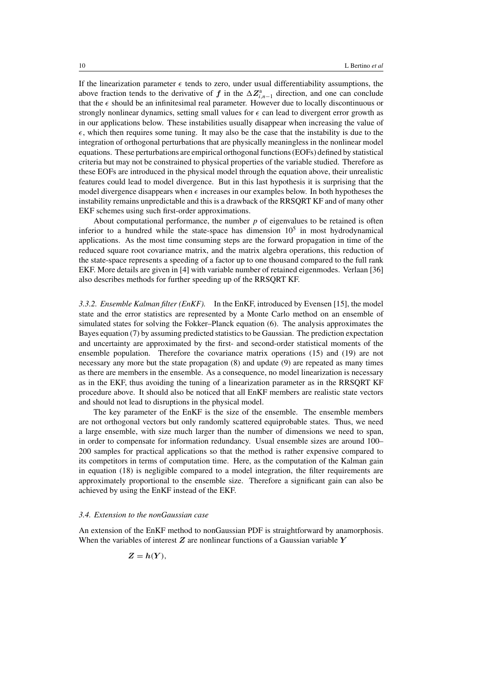If the linearization parameter  $\epsilon$  tends to zero, under usual differentiability assumptions, the above fraction tends to the derivative of *f* in the  $\Delta Z_{i,n-1}^{\rm a}$  direction, and one can conclude that the  $\epsilon$  should be an infinitesimal real parameter. However due to locally discontinuous or strongly nonlinear dynamics, setting small values for  $\epsilon$  can lead to divergent error growth as in our applications below. These instabilities usually disappear when increasing the value of  $\epsilon$ , which then requires some tuning. It may also be the case that the instability is due to the integration of orthogonal perturbations that are physically meaningless in the nonlinear model equations. These perturbations are empirical orthogonal functions (EOFs) defined by statistical criteria but may not be constrained to physical properties of the variable studied. Therefore as these EOFs are introduced in the physical model through the equation above, their unrealistic features could lead to model divergence. But in this last hypothesis it is surprising that the model divergence disappears when  $\epsilon$  increases in our examples below. In both hypotheses the instability remains unpredictable and this is a drawback of the RRSQRT KF and of many other EKF schemes using such first-order approximations.

About computational performance, the number  $p$  of eigenvalues to be retained is often inferior to a hundred while the state-space has dimension  $10<sup>5</sup>$  in most hydrodynamical applications. As the most time consuming steps are the forward propagation in time of the reduced square root covariance matrix, and the matrix algebra operations, this reduction of the state-space represents a speeding of a factor up to one thousand compared to the full rank EKF. More details are given in [4] with variable number of retained eigenmodes. Verlaan [36] also describes methods for further speeding up of the RRSQRT KF.

*3.3.2. Ensemble Kalman filter (EnKF).* In the EnKF, introduced by Evensen [15], the model state and the error statistics are represented by a Monte Carlo method on an ensemble of simulated states for solving the Fokker–Planck equation (6). The analysis approximates the Bayes equation (7) by assuming predicted statistics to be Gaussian. The prediction expectation and uncertainty are approximated by the first- and second-order statistical moments of the ensemble population. Therefore the covariance matrix operations (15) and (19) are not necessary any more but the state propagation (8) and update (9) are repeated as many times as there are members in the ensemble. As a consequence, no model linearization is necessary as in the EKF, thus avoiding the tuning of a linearization parameter as in the RRSQRT KF procedure above. It should also be noticed that all EnKF members are realistic state vectors and should not lead to disruptions in the physical model.

The key parameter of the EnKF is the size of the ensemble. The ensemble members are not orthogonal vectors but only randomly scattered equiprobable states. Thus, we need a large ensemble, with size much larger than the number of dimensions we need to span, in order to compensate for information redundancy. Usual ensemble sizes are around 100– 200 samples for practical applications so that the method is rather expensive compared to its competitors in terms of computation time. Here, as the computation of the Kalman gain in equation (18) is negligible compared to a model integration, the filter requirements are approximately proportional to the ensemble size. Therefore a significant gain can also be achieved by using the EnKF instead of the EKF.

#### *3.4. Extension to the nonGaussian case*

An extension of the EnKF method to nonGaussian PDF is straightforward by anamorphosis. When the variables of interest *Z* are nonlinear functions of a Gaussian variable *Y*

$$
Z=h(Y),
$$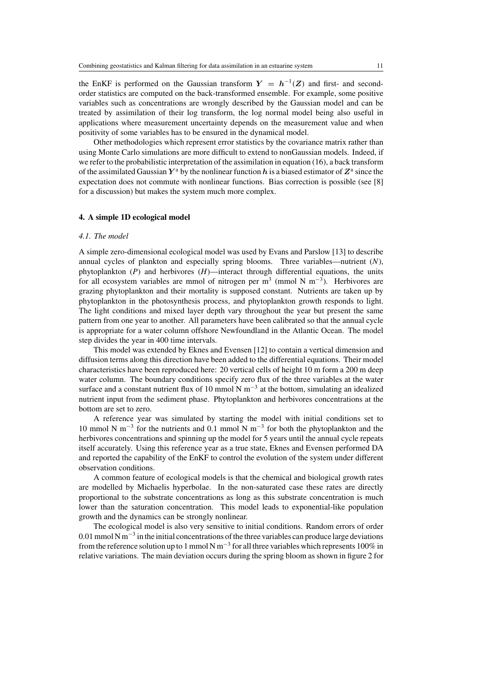the EnKF is performed on the Gaussian transform  $Y = h^{-1}(Z)$  and first- and secondorder statistics are computed on the back-transformed ensemble. For example, some positive variables such as concentrations are wrongly described by the Gaussian model and can be treated by assimilation of their log transform, the log normal model being also useful in applications where measurement uncertainty depends on the measurement value and when positivity of some variables has to be ensured in the dynamical model.

Other methodologies which represent error statistics by the covariance matrix rather than using Monte Carlo simulations are more difficult to extend to nonGaussian models. Indeed, if we refer to the probabilistic interpretation of the assimilation in equation (16), a back transform of the assimilated Gaussian  $Y^a$  by the nonlinear function h is a biased estimator of  $Z^a$  since the expectation does not commute with nonlinear functions. Bias correction is possible (see [8] for a discussion) but makes the system much more complex.

## **4. A simple 1D ecological model**

#### *4.1. The model*

A simple zero-dimensional ecological model was used by Evans and Parslow [13] to describe annual cycles of plankton and especially spring blooms. Three variables—nutrient (*N*), phytoplankton (*P*) and herbivores (*H*)—interact through differential equations, the units for all ecosystem variables are mmol of nitrogen per m<sup>3</sup> (mmol N m<sup>-3</sup>). Herbivores are grazing phytoplankton and their mortality is supposed constant. Nutrients are taken up by phytoplankton in the photosynthesis process, and phytoplankton growth responds to light. The light conditions and mixed layer depth vary throughout the year but present the same pattern from one year to another. All parameters have been calibrated so that the annual cycle is appropriate for a water column offshore Newfoundland in the Atlantic Ocean. The model step divides the year in 400 time intervals.

This model was extended by Eknes and Evensen [12] to contain a vertical dimension and diffusion terms along this direction have been added to the differential equations. Their model characteristics have been reproduced here: 20 vertical cells of height 10 m form a 200 m deep water column. The boundary conditions specify zero flux of the three variables at the water surface and a constant nutrient flux of 10 mmol N  $\text{m}^{-3}$  at the bottom, simulating an idealized nutrient input from the sediment phase. Phytoplankton and herbivores concentrations at the bottom are set to zero.

A reference year was simulated by starting the model with initial conditions set to 10 mmol N m<sup>-3</sup> for the nutrients and 0.1 mmol N m<sup>-3</sup> for both the phytoplankton and the herbivores concentrations and spinning up the model for 5 years until the annual cycle repeats itself accurately. Using this reference year as a true state, Eknes and Evensen performed DA and reported the capability of the EnKF to control the evolution of the system under different observation conditions.

A common feature of ecological models is that the chemical and biological growth rates are modelled by Michaelis hyperbolae. In the non-saturated case these rates are directly proportional to the substrate concentrations as long as this substrate concentration is much lower than the saturation concentration. This model leads to exponential-like population growth and the dynamics can be strongly nonlinear.

The ecological model is also very sensitive to initial conditions. Random errors of order 0.01 mmol N m<sup>-3</sup> in the initial concentrations of the three variables can produce large deviations from the reference solution up to 1 mmol N m<sup>-3</sup> for all three variables which represents 100% in relative variations. The main deviation occurs during the spring bloom as shown in figure 2 for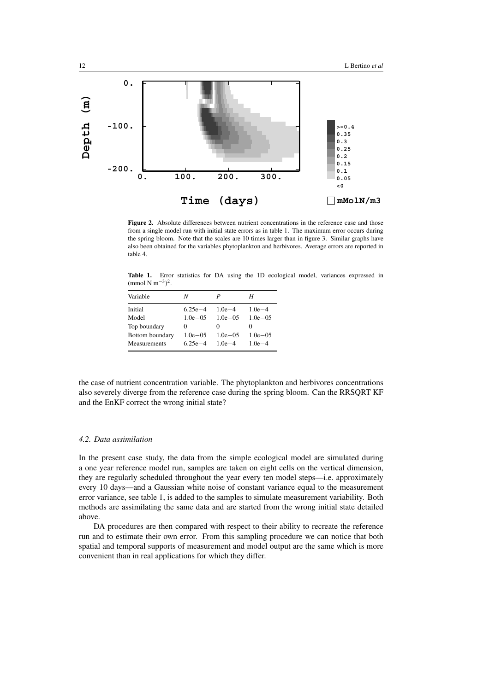

**Figure 2.** Absolute differences between nutrient concentrations in the reference case and those from a single model run with initial state errors as in table 1. The maximum error occurs during the spring bloom. Note that the scales are 10 times larger than in figure 3. Similar graphs have also been obtained for the variables phytoplankton and herbivores. Average errors are reported in table 4.

**Table 1.** Error statistics for DA using the 1D ecological model, variances expressed in  $\text{(mmol N m}^{-3})^2$ .

| N            | P            | Н            |
|--------------|--------------|--------------|
| $6.25e - 4$  | $1.0e - 4$   | $1.0e - 4$   |
| $1.0e - 0.5$ | $1.0e - 05$  | $1.0e - 0.5$ |
| $_{0}$       | 0            | $\theta$     |
| $1.0e - 0.5$ | $1.0e - 0.5$ | $1.0e - 0.5$ |
| $6.25e - 4$  | $1.0e-4$     | $1.0e-4$     |
|              |              |              |

the case of nutrient concentration variable. The phytoplankton and herbivores concentrations also severely diverge from the reference case during the spring bloom. Can the RRSQRT KF and the EnKF correct the wrong initial state?

### *4.2. Data assimilation*

In the present case study, the data from the simple ecological model are simulated during a one year reference model run, samples are taken on eight cells on the vertical dimension, they are regularly scheduled throughout the year every ten model steps—i.e. approximately every 10 days—and a Gaussian white noise of constant variance equal to the measurement error variance, see table 1, is added to the samples to simulate measurement variability. Both methods are assimilating the same data and are started from the wrong initial state detailed above.

DA procedures are then compared with respect to their ability to recreate the reference run and to estimate their own error. From this sampling procedure we can notice that both spatial and temporal supports of measurement and model output are the same which is more convenient than in real applications for which they differ.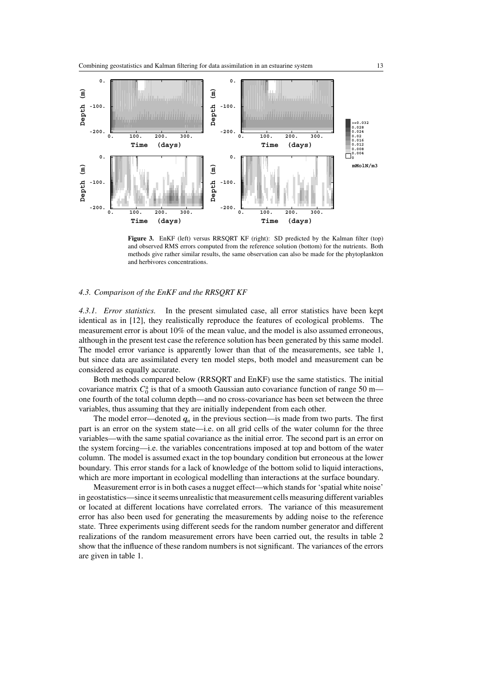

Figure 3. EnKF (left) versus RRSQRT KF (right): SD predicted by the Kalman filter (top) and observed RMS errors computed from the reference solution (bottom) for the nutrients. Both methods give rather similar results, the same observation can also be made for the phytoplankton and herbivores concentrations.

## *4.3. Comparison of the EnKF and the RRSQRT KF*

*4.3.1. Error statistics.* In the present simulated case, all error statistics have been kept identical as in [12], they realistically reproduce the features of ecological problems. The measurement error is about 10% of the mean value, and the model is also assumed erroneous, although in the present test case the reference solution has been generated by this same model. The model error variance is apparently lower than that of the measurements, see table 1, but since data are assimilated every ten model steps, both model and measurement can be considered as equally accurate.

Both methods compared below (RRSQRT and EnKF) use the same statistics. The initial covariance matrix  $C_0^a$  is that of a smooth Gaussian auto covariance function of range 50 m one fourth of the total column depth—and no cross-covariance has been set between the three variables, thus assuming that they are initially independent from each other.

The model error—denoted  $q_n$  in the previous section—is made from two parts. The first part is an error on the system state—i.e. on all grid cells of the water column for the three variables—with the same spatial covariance as the initial error. The second part is an error on the system forcing—i.e. the variables concentrations imposed at top and bottom of the water column. The model is assumed exact in the top boundary condition but erroneous at the lower boundary. This error stands for a lack of knowledge of the bottom solid to liquid interactions, which are more important in ecological modelling than interactions at the surface boundary.

Measurement error is in both cases a nugget effect—which stands for 'spatial white noise' in geostatistics—since it seems unrealistic that measurement cells measuring different variables or located at different locations have correlated errors. The variance of this measurement error has also been used for generating the measurements by adding noise to the reference state. Three experiments using different seeds for the random number generator and different realizations of the random measurement errors have been carried out, the results in table 2 show that the influence of these random numbers is not significant. The variances of the errors are given in table 1.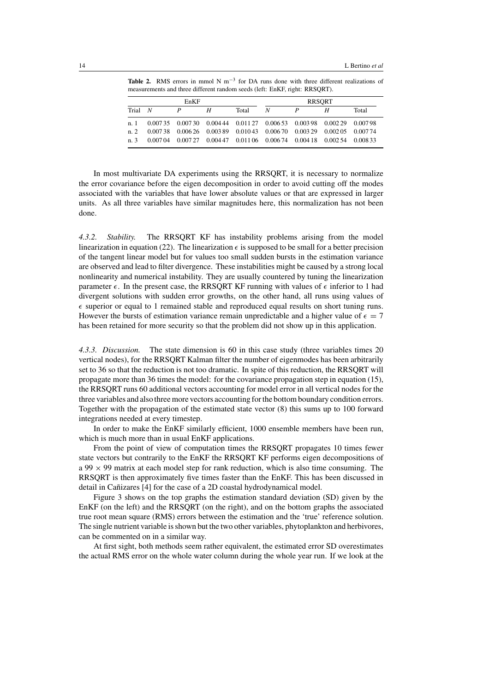**Table 2.** RMS errors in mmol N m−<sup>3</sup> for DA runs done with three different realizations of measurements and three different random seeds (left: EnKF, right: RRSQRT).

| EnKF    |                                                                      |                                                                                 | <b>RRSORT</b> |       |   |  |   |       |
|---------|----------------------------------------------------------------------|---------------------------------------------------------------------------------|---------------|-------|---|--|---|-------|
| Trial N |                                                                      |                                                                                 | Н             | Total | N |  | Н | Total |
|         | n. 1 0.00735 0.00730 0.00444 0.01127 0.00653 0.00398 0.00229 0.00798 |                                                                                 |               |       |   |  |   |       |
| n. 2    |                                                                      | $0.00738$ $0.00626$ $0.00389$ $0.01043$ $0.00670$ $0.00329$ $0.00205$ $0.00774$ |               |       |   |  |   |       |
| n. 3    |                                                                      | $0.00704$ $0.00727$ $0.00447$ $0.01106$ $0.00674$ $0.00418$ $0.00254$ $0.00833$ |               |       |   |  |   |       |

In most multivariate DA experiments using the RRSQRT, it is necessary to normalize the error covariance before the eigen decomposition in order to avoid cutting off the modes associated with the variables that have lower absolute values or that are expressed in larger units. As all three variables have similar magnitudes here, this normalization has not been done.

*4.3.2. Stability.* The RRSQRT KF has instability problems arising from the model linearization in equation (22). The linearization  $\epsilon$  is supposed to be small for a better precision of the tangent linear model but for values too small sudden bursts in the estimation variance are observed and lead to filter divergence. These instabilities might be caused by a strong local nonlinearity and numerical instability. They are usually countered by tuning the linearization parameter  $\epsilon$ . In the present case, the RRSQRT KF running with values of  $\epsilon$  inferior to 1 had divergent solutions with sudden error growths, on the other hand, all runs using values of  $\epsilon$  superior or equal to 1 remained stable and reproduced equal results on short tuning runs. However the bursts of estimation variance remain unpredictable and a higher value of  $\epsilon = 7$ has been retained for more security so that the problem did not show up in this application.

*4.3.3. Discussion.* The state dimension is 60 in this case study (three variables times 20 vertical nodes), for the RRSQRT Kalman filter the number of eigenmodes has been arbitrarily set to 36 so that the reduction is not too dramatic. In spite of this reduction, the RRSQRT will propagate more than 36 times the model: for the covariance propagation step in equation (15), the RRSQRT runs 60 additional vectors accounting for model error in all vertical nodes for the three variables and also three more vectors accounting for the bottom boundary condition errors. Together with the propagation of the estimated state vector (8) this sums up to 100 forward integrations needed at every timestep.

In order to make the EnKF similarly efficient, 1000 ensemble members have been run, which is much more than in usual EnKF applications.

From the point of view of computation times the RRSQRT propagates 10 times fewer state vectors but contrarily to the EnKF the RRSQRT KF performs eigen decompositions of a 99  $\times$  99 matrix at each model step for rank reduction, which is also time consuming. The RRSQRT is then approximately five times faster than the EnKF. This has been discussed in detail in Cañizares [4] for the case of a 2D coastal hydrodynamical model.

Figure 3 shows on the top graphs the estimation standard deviation (SD) given by the EnKF (on the left) and the RRSQRT (on the right), and on the bottom graphs the associated true root mean square (RMS) errors between the estimation and the 'true' reference solution. The single nutrient variable is shown but the two other variables, phytoplankton and herbivores, can be commented on in a similar way.

At first sight, both methods seem rather equivalent, the estimated error SD overestimates the actual RMS error on the whole water column during the whole year run. If we look at the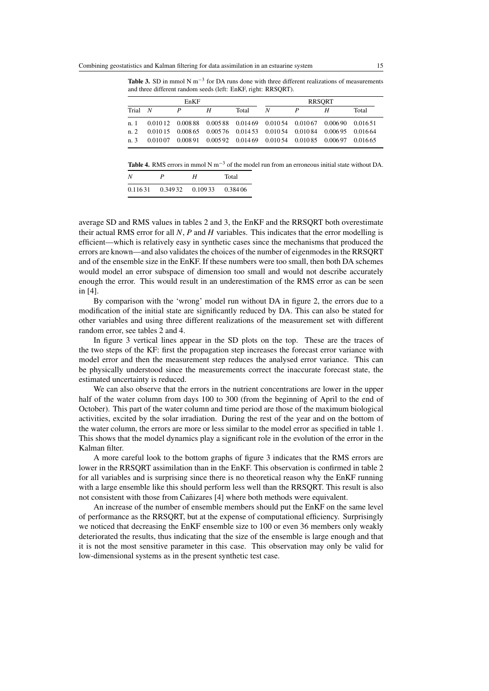**Table 3.** SD in mmol N m−<sup>3</sup> for DA runs done with three different realizations of measurements and three different random seeds (left: EnKF, right: RRSQRT).

| EnKF         |  |   | <b>RRSORT</b> |       |                                                                                 |   |   |       |
|--------------|--|---|---------------|-------|---------------------------------------------------------------------------------|---|---|-------|
| $Trial \t N$ |  | P | Н             | Total | N                                                                               | P | Н | Total |
| n. 1         |  |   |               |       | 0.01012 0.00888 0.00588 0.01469 0.01054 0.01067 0.00690 0.01651                 |   |   |       |
| $n \, 2$     |  |   |               |       | $0.01015$ $0.00865$ $0.00576$ $0.01453$ $0.01054$ $0.01084$ $0.00695$ $0.01664$ |   |   |       |
| n. 3         |  |   |               |       | $0.01007$ $0.00891$ $0.00592$ $0.01469$ $0.01054$ $0.01085$ $0.00697$ $0.01665$ |   |   |       |

**Table 4.** RMS errors in mmol N m−<sup>3</sup> of the model run from an erroneous initial state without DA.

| N        | P | Н                   | Total    |
|----------|---|---------------------|----------|
| 0.116.31 |   | $0.34932$ $0.10933$ | 0.384 06 |

average SD and RMS values in tables 2 and 3, the EnKF and the RRSQRT both overestimate their actual RMS error for all *N*, *P* and *H* variables. This indicates that the error modelling is efficient—which is relatively easy in synthetic cases since the mechanisms that produced the errors are known—and also validates the choices of the number of eigenmodes in the RRSQRT and of the ensemble size in the EnKF. If these numbers were too small, then both DA schemes would model an error subspace of dimension too small and would not describe accurately enough the error. This would result in an underestimation of the RMS error as can be seen in [4].

By comparison with the 'wrong' model run without DA in figure 2, the errors due to a modification of the initial state are significantly reduced by DA. This can also be stated for other variables and using three different realizations of the measurement set with different random error, see tables 2 and 4.

In figure 3 vertical lines appear in the SD plots on the top. These are the traces of the two steps of the KF: first the propagation step increases the forecast error variance with model error and then the measurement step reduces the analysed error variance. This can be physically understood since the measurements correct the inaccurate forecast state, the estimated uncertainty is reduced.

We can also observe that the errors in the nutrient concentrations are lower in the upper half of the water column from days 100 to 300 (from the beginning of April to the end of October). This part of the water column and time period are those of the maximum biological activities, excited by the solar irradiation. During the rest of the year and on the bottom of the water column, the errors are more or less similar to the model error as specified in table 1. This shows that the model dynamics play a significant role in the evolution of the error in the Kalman filter.

A more careful look to the bottom graphs of figure 3 indicates that the RMS errors are lower in the RRSQRT assimilation than in the EnKF. This observation is confirmed in table 2 for all variables and is surprising since there is no theoretical reason why the EnKF running with a large ensemble like this should perform less well than the RRSQRT. This result is also not consistent with those from Cantizares [4] where both methods were equivalent.

An increase of the number of ensemble members should put the EnKF on the same level of performance as the RRSQRT, but at the expense of computational efficiency. Surprisingly we noticed that decreasing the EnKF ensemble size to 100 or even 36 members only weakly deteriorated the results, thus indicating that the size of the ensemble is large enough and that it is not the most sensitive parameter in this case. This observation may only be valid for low-dimensional systems as in the present synthetic test case.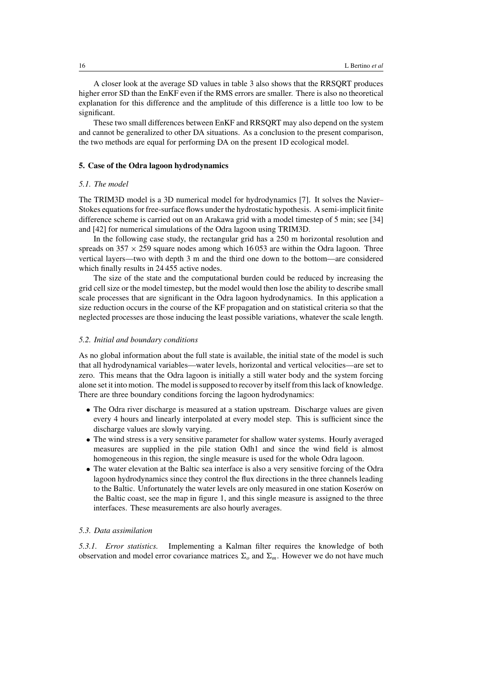A closer look at the average SD values in table 3 also shows that the RRSQRT produces higher error SD than the EnKF even if the RMS errors are smaller. There is also no theoretical explanation for this difference and the amplitude of this difference is a little too low to be significant.

These two small differences between EnKF and RRSQRT may also depend on the system and cannot be generalized to other DA situations. As a conclusion to the present comparison, the two methods are equal for performing DA on the present 1D ecological model.

## **5. Case of the Odra lagoon hydrodynamics**

## *5.1. The model*

The TRIM3D model is a 3D numerical model for hydrodynamics [7]. It solves the Navier– Stokes equations for free-surface flows under the hydrostatic hypothesis. A semi-implicit finite difference scheme is carried out on an Arakawa grid with a model timestep of 5 min; see [34] and [42] for numerical simulations of the Odra lagoon using TRIM3D.

In the following case study, the rectangular grid has a 250 m horizontal resolution and spreads on  $357 \times 259$  square nodes among which 16053 are within the Odra lagoon. Three vertical layers—two with depth 3 m and the third one down to the bottom—are considered which finally results in 24 455 active nodes.

The size of the state and the computational burden could be reduced by increasing the grid cell size or the model timestep, but the model would then lose the ability to describe small scale processes that are significant in the Odra lagoon hydrodynamics. In this application a size reduction occurs in the course of the KF propagation and on statistical criteria so that the neglected processes are those inducing the least possible variations, whatever the scale length.

## *5.2. Initial and boundary conditions*

As no global information about the full state is available, the initial state of the model is such that all hydrodynamical variables—water levels, horizontal and vertical velocities—are set to zero. This means that the Odra lagoon is initially a still water body and the system forcing alone set it into motion. The model is supposed to recover by itself from this lack of knowledge. There are three boundary conditions forcing the lagoon hydrodynamics:

- The Odra river discharge is measured at a station upstream. Discharge values are given every 4 hours and linearly interpolated at every model step. This is sufficient since the discharge values are slowly varying.
- The wind stress is a very sensitive parameter for shallow water systems. Hourly averaged measures are supplied in the pile station Odh1 and since the wind field is almost homogeneous in this region, the single measure is used for the whole Odra lagoon.
- The water elevation at the Baltic sea interface is also a very sensitive forcing of the Odra lagoon hydrodynamics since they control the flux directions in the three channels leading to the Baltic. Unfortunately the water levels are only measured in one station Koserów on the Baltic coast, see the map in figure 1, and this single measure is assigned to the three interfaces. These measurements are also hourly averages.

## *5.3. Data assimilation*

*5.3.1. Error statistics.* Implementing a Kalman filter requires the knowledge of both observation and model error covariance matrices  $\Sigma_o$  and  $\Sigma_m$ . However we do not have much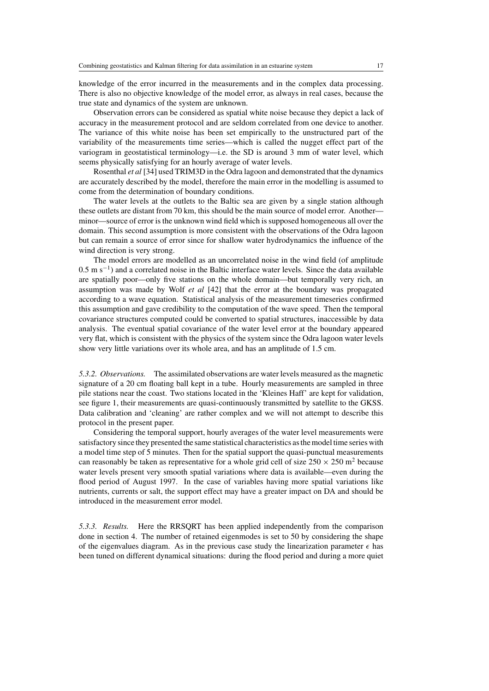knowledge of the error incurred in the measurements and in the complex data processing. There is also no objective knowledge of the model error, as always in real cases, because the true state and dynamics of the system are unknown.

Observation errors can be considered as spatial white noise because they depict a lack of accuracy in the measurement protocol and are seldom correlated from one device to another. The variance of this white noise has been set empirically to the unstructured part of the variability of the measurements time series—which is called the nugget effect part of the variogram in geostatistical terminology—i.e. the SD is around 3 mm of water level, which seems physically satisfying for an hourly average of water levels.

Rosenthal *et al* [34] used TRIM3D in the Odra lagoon and demonstrated that the dynamics are accurately described by the model, therefore the main error in the modelling is assumed to come from the determination of boundary conditions.

The water levels at the outlets to the Baltic sea are given by a single station although these outlets are distant from 70 km, this should be the main source of model error. Another minor—source of error is the unknown wind field which is supposed homogeneous all over the domain. This second assumption is more consistent with the observations of the Odra lagoon but can remain a source of error since for shallow water hydrodynamics the influence of the wind direction is very strong.

The model errors are modelled as an uncorrelated noise in the wind field (of amplitude 0.5 m s−1) and a correlated noise in the Baltic interface water levels. Since the data available are spatially poor—only five stations on the whole domain—but temporally very rich, an assumption was made by Wolf *et al* [42] that the error at the boundary was propagated according to a wave equation. Statistical analysis of the measurement timeseries confirmed this assumption and gave credibility to the computation of the wave speed. Then the temporal covariance structures computed could be converted to spatial structures, inaccessible by data analysis. The eventual spatial covariance of the water level error at the boundary appeared very flat, which is consistent with the physics of the system since the Odra lagoon water levels show very little variations over its whole area, and has an amplitude of 1.5 cm.

*5.3.2. Observations.* The assimilated observations are water levels measured as the magnetic signature of a 20 cm floating ball kept in a tube. Hourly measurements are sampled in three pile stations near the coast. Two stations located in the 'Kleines Haff' are kept for validation, see figure 1, their measurements are quasi-continuously transmitted by satellite to the GKSS. Data calibration and 'cleaning' are rather complex and we will not attempt to describe this protocol in the present paper.

Considering the temporal support, hourly averages of the water level measurements were satisfactory since they presented the same statistical characteristics as the model time series with a model time step of 5 minutes. Then for the spatial support the quasi-punctual measurements can reasonably be taken as representative for a whole grid cell of size  $250 \times 250$  m<sup>2</sup> because water levels present very smooth spatial variations where data is available—even during the flood period of August 1997. In the case of variables having more spatial variations like nutrients, currents or salt, the support effect may have a greater impact on DA and should be introduced in the measurement error model.

*5.3.3. Results.* Here the RRSQRT has been applied independently from the comparison done in section 4. The number of retained eigenmodes is set to 50 by considering the shape of the eigenvalues diagram. As in the previous case study the linearization parameter  $\epsilon$  has been tuned on different dynamical situations: during the flood period and during a more quiet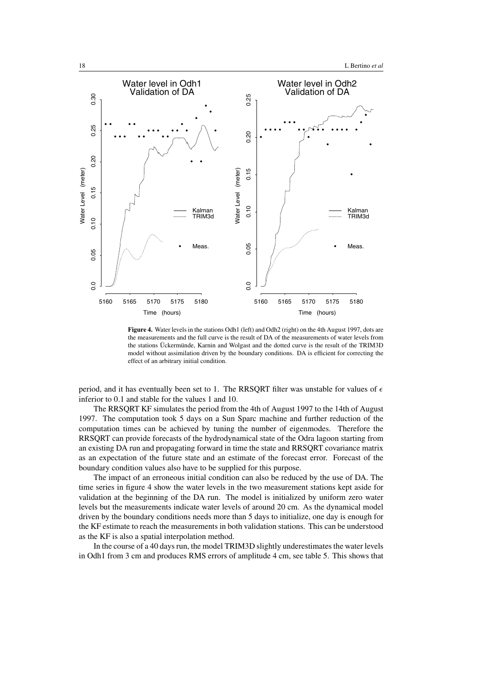

Figure 4. Water levels in the stations Odh1 (left) and Odh2 (right) on the 4th August 1997, dots are the measurements and the full curve is the result of DA of the measurements of water levels from the stations Ückermünde, Karnin and Wolgast and the dotted curve is the result of the TRIM3D model without assimilation driven by the boundary conditions. DA is efficient for correcting the effect of an arbitrary initial condition.

period, and it has eventually been set to 1. The RRSQRT filter was unstable for values of  $\epsilon$ inferior to 0.1 and stable for the values 1 and 10.

The RRSQRT KF simulates the period from the 4th of August 1997 to the 14th of August 1997. The computation took 5 days on a Sun Sparc machine and further reduction of the computation times can be achieved by tuning the number of eigenmodes. Therefore the RRSQRT can provide forecasts of the hydrodynamical state of the Odra lagoon starting from an existing DA run and propagating forward in time the state and RRSQRT covariance matrix as an expectation of the future state and an estimate of the forecast error. Forecast of the boundary condition values also have to be supplied for this purpose.

The impact of an erroneous initial condition can also be reduced by the use of DA. The time series in figure 4 show the water levels in the two measurement stations kept aside for validation at the beginning of the DA run. The model is initialized by uniform zero water levels but the measurements indicate water levels of around 20 cm. As the dynamical model driven by the boundary conditions needs more than 5 days to initialize, one day is enough for the KF estimate to reach the measurements in both validation stations. This can be understood as the KF is also a spatial interpolation method.

In the course of a 40 days run, the model TRIM3D slightly underestimates the water levels in Odh1 from 3 cm and produces RMS errors of amplitude 4 cm, see table 5. This shows that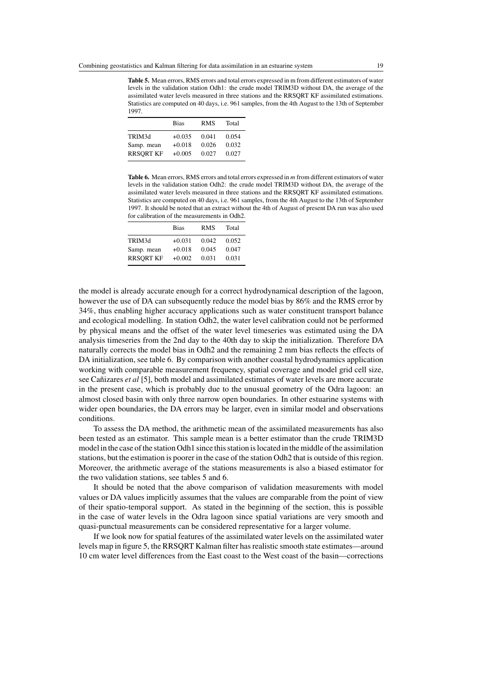**Table 5.** Mean errors, RMS errors and total errors expressed in m from different estimators of water levels in the validation station Odh1: the crude model TRIM3D without DA, the average of the assimilated water levels measured in three stations and the RRSQRT KF assimilated estimations. Statistics are computed on 40 days, i.e. 961 samples, from the 4th August to the 13th of September 1997.

|                  | <b>Bias</b> | <b>RMS</b> | Total |
|------------------|-------------|------------|-------|
|                  |             |            |       |
| TRIM3d           | $+0.035$    | 0.041      | 0.054 |
| Samp. mean       | $+0.018$    | 0.026      | 0.032 |
| <b>RRSQRT KF</b> | $+0.005$    | 0.027      | 0.027 |

**Table 6.** Mean errors, RMS errors and total errors expressed in m from different estimators of water levels in the validation station Odh2: the crude model TRIM3D without DA, the average of the assimilated water levels measured in three stations and the RRSQRT KF assimilated estimations. Statistics are computed on 40 days, i.e. 961 samples, from the 4th August to the 13th of September 1997. It should be noted that an extract without the 4th of August of present DA run was also used for calibration of the measurements in Odh2.

|                  | <b>Bias</b> | <b>RMS</b> | Total |
|------------------|-------------|------------|-------|
| TRIM3d           | $+0.031$    | 0.042      | 0.052 |
| Samp. mean       | $+0.018$    | 0.045      | 0.047 |
| <b>RRSORT KF</b> | $+0.002$    | 0.031      | 0.031 |

the model is already accurate enough for a correct hydrodynamical description of the lagoon, however the use of DA can subsequently reduce the model bias by 86% and the RMS error by 34%, thus enabling higher accuracy applications such as water constituent transport balance and ecological modelling. In station Odh2, the water level calibration could not be performed by physical means and the offset of the water level timeseries was estimated using the DA analysis timeseries from the 2nd day to the 40th day to skip the initialization. Therefore DA naturally corrects the model bias in Odh2 and the remaining 2 mm bias reflects the effects of DA initialization, see table 6. By comparison with another coastal hydrodynamics application working with comparable measurement frequency, spatial coverage and model grid cell size, see Cantizares *et al* [5], both model and assimilated estimates of water levels are more accurate in the present case, which is probably due to the unusual geometry of the Odra lagoon: an almost closed basin with only three narrow open boundaries. In other estuarine systems with wider open boundaries, the DA errors may be larger, even in similar model and observations conditions.

To assess the DA method, the arithmetic mean of the assimilated measurements has also been tested as an estimator. This sample mean is a better estimator than the crude TRIM3D model in the case of the station Odh1 since this station is located in the middle of the assimilation stations, but the estimation is poorer in the case of the station Odh2 that is outside of this region. Moreover, the arithmetic average of the stations measurements is also a biased estimator for the two validation stations, see tables 5 and 6.

It should be noted that the above comparison of validation measurements with model values or DA values implicitly assumes that the values are comparable from the point of view of their spatio-temporal support. As stated in the beginning of the section, this is possible in the case of water levels in the Odra lagoon since spatial variations are very smooth and quasi-punctual measurements can be considered representative for a larger volume.

If we look now for spatial features of the assimilated water levels on the assimilated water levels map in figure 5, the RRSQRT Kalman filter has realistic smooth state estimates—around 10 cm water level differences from the East coast to the West coast of the basin—corrections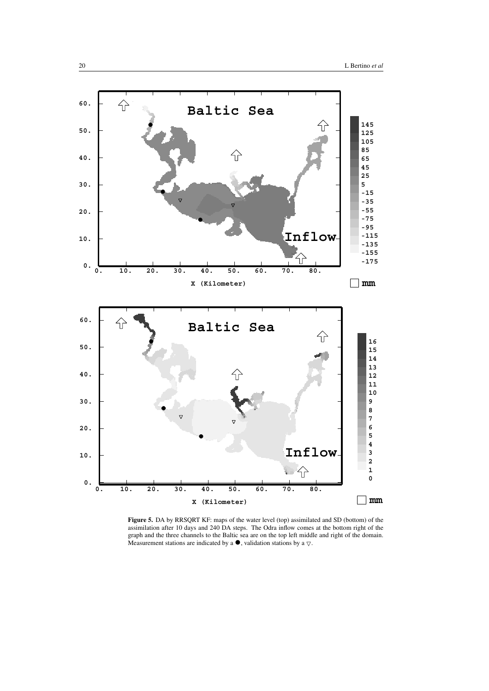

**Figure 5.** DA by RRSQRT KF: maps of the water level (top) assimilated and SD (bottom) of the assimilation after 10 days and 240 DA steps. The Odra inflow comes at the bottom right of the graph and the three channels to the Baltic sea are on the top left middle and right of the domain. Measurement stations are indicated by a  $\bullet$ , validation stations by a  $\triangledown$ .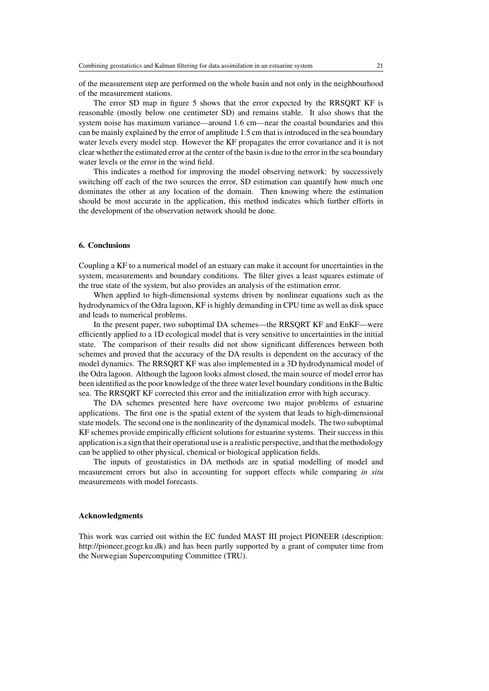of the measurement step are performed on the whole basin and not only in the neighbourhood of the measurement stations.

The error SD map in figure 5 shows that the error expected by the RRSQRT KF is reasonable (mostly below one centimeter SD) and remains stable. It also shows that the system noise has maximum variance—around 1.6 cm—near the coastal boundaries and this can be mainly explained by the error of amplitude 1.5 cm that is introduced in the sea boundary water levels every model step. However the KF propagates the error covariance and it is not clear whether the estimated error at the center of the basin is due to the error in the sea boundary water levels or the error in the wind field.

This indicates a method for improving the model observing network: by successively switching off each of the two sources the error, SD estimation can quantify how much one dominates the other at any location of the domain. Then knowing where the estimation should be most accurate in the application, this method indicates which further efforts in the development of the observation network should be done.

# **6. Conclusions**

Coupling a KF to a numerical model of an estuary can make it account for uncertainties in the system, measurements and boundary conditions. The filter gives a least squares estimate of the true state of the system, but also provides an analysis of the estimation error.

When applied to high-dimensional systems driven by nonlinear equations such as the hydrodynamics of the Odra lagoon, KF is highly demanding in CPU time as well as disk space and leads to numerical problems.

In the present paper, two suboptimal DA schemes—the RRSQRT KF and EnKF—were efficiently applied to a 1D ecological model that is very sensitive to uncertainties in the initial state. The comparison of their results did not show significant differences between both schemes and proved that the accuracy of the DA results is dependent on the accuracy of the model dynamics. The RRSQRT KF was also implemented in a 3D hydrodynamical model of the Odra lagoon. Although the lagoon looks almost closed, the main source of model error has been identified as the poor knowledge of the three water level boundary conditions in the Baltic sea. The RRSQRT KF corrected this error and the initialization error with high accuracy.

The DA schemes presented here have overcome two major problems of estuarine applications. The first one is the spatial extent of the system that leads to high-dimensional state models. The second one is the nonlinearity of the dynamical models. The two suboptimal KF schemes provide empirically efficient solutions for estuarine systems. Their success in this application is a sign that their operational use is a realistic perspective, and that the methodology can be applied to other physical, chemical or biological application fields.

The inputs of geostatistics in DA methods are in spatial modelling of model and measurement errors but also in accounting for support effects while comparing *in situ* measurements with model forecasts.

## **Acknowledgments**

This work was carried out within the EC funded MAST III project PIONEER (description: http://pioneer.geogr.ku.dk) and has been partly supported by a grant of computer time from the Norwegian Supercomputing Committee (TRU).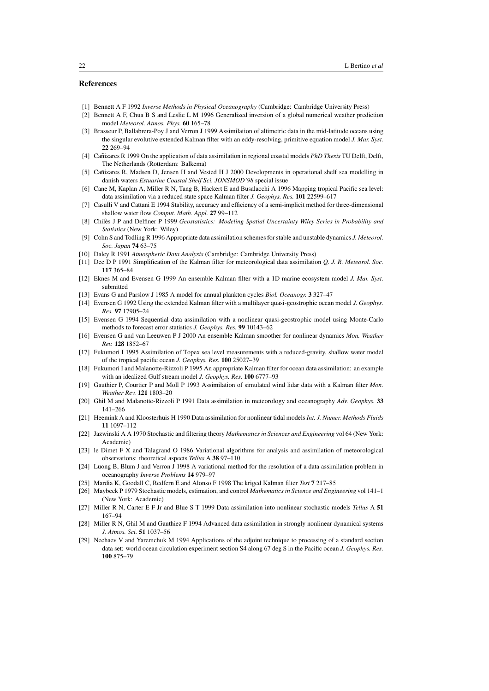## **References**

- [1] Bennett A F 1992 *Inverse Methods in Physical Oceanography* (Cambridge: Cambridge University Press)
- [2] Bennett A F, Chua B S and Leslie L M 1996 Generalized inversion of a global numerical weather prediction model *Meteorol. Atmos. Phys.* **60** 165–78
- [3] Brasseur P, Ballabrera-Poy J and Verron J 1999 Assimilation of altimetric data in the mid-latitude oceans using the singular evolutive extended Kalman filter with an eddy-resolving, primitive equation model *J. Mar. Syst.* **22** 269–94
- [4] Cañizares R 1999 On the application of data assimilation in regional coastal models *PhD Thesis* TU Delft, Delft, The Netherlands (Rotterdam: Balkema)
- [5] Cañizares R, Madsen D, Jensen H and Vested H J 2000 Developments in operational shelf sea modelling in danish waters *Estuarine Coastal Shelf Sci. JONSMOD'98* special issue
- [6] Cane M, Kaplan A, Miller R N, Tang B, Hackert E and Busalacchi A 1996 Mapping tropical Pacific sea level: data assimilation via a reduced state space Kalman filter *J. Geophys. Res.* **101** 22599–617
- [7] Casulli V and Cattani E 1994 Stability, accuracy and efficiency of a semi-implicit method for three-dimensional shallow water flow *Comput. Math. Appl.* **27** 99–112
- [8] Chilès J P and Delfiner P 1999 *Geostatistics: Modeling Spatial Uncertainty Wiley Series in Probability and Statistics* (New York: Wiley)
- [9] Cohn S and Todling R 1996 Appropriate data assimilation schemes for stable and unstable dynamics *J. Meteorol. Soc. Japan* **74** 63–75
- [10] Daley R 1991 *Atmospheric Data Analysis* (Cambridge: Cambridge University Press)
- [11] Dee D P 1991 Simplification of the Kalman filter for meteorological data assimilation *Q. J. R. Meteorol. Soc.* **117** 365–84
- [12] Eknes M and Evensen G 1999 An ensemble Kalman filter with a 1D marine ecosystem model *J. Mar. Syst.* submitted
- [13] Evans G and Parslow J 1985 A model for annual plankton cycles *Biol. Oceanogr.* **3** 327–47
- [14] Evensen G 1992 Using the extended Kalman filter with a multilayer quasi-geostrophic ocean model *J. Geophys. Res.* **97** 17905–24
- [15] Evensen G 1994 Sequential data assimilation with a nonlinear quasi-geostrophic model using Monte-Carlo methods to forecast error statistics *J. Geophys. Res.* **99** 10143–62
- [16] Evensen G and van Leeuwen P J 2000 An ensemble Kalman smoother for nonlinear dynamics *Mon. Weather Rev.* **128** 1852–67
- [17] Fukumori I 1995 Assimilation of Topex sea level measurements with a reduced-gravity, shallow water model of the tropical pacific ocean *J. Geophys. Res.* **100** 25027–39
- [18] Fukumori I and Malanotte-Rizzoli P 1995 An appropriate Kalman filter for ocean data assimilation: an example with an idealized Gulf stream model *J. Geophys. Res.* **100** 6777–93
- [19] Gauthier P, Courtier P and Moll P 1993 Assimilation of simulated wind lidar data with a Kalman filter *Mon. Weather Rev.* **121** 1803–20
- [20] Ghil M and Malanotte-Rizzoli P 1991 Data assimilation in meteorology and oceanography *Adv. Geophys.* **33** 141–266
- [21] Heemink A and Kloosterhuis H 1990 Data assimilation for nonlinear tidal models *Int. J. Numer. Methods Fluids* **11** 1097–112
- [22] Jazwinski A A 1970 Stochastic and filtering theory *Mathematics in Sciences and Engineering* vol 64 (New York: Academic)
- [23] le Dimet F X and Talagrand O 1986 Variational algorithms for analysis and assimilation of meteorological observations: theoretical aspects *Tellus* A **38** 97–110
- [24] Luong B, Blum J and Verron J 1998 A variational method for the resolution of a data assimilation problem in oceanography *Inverse Problems* **14** 979–97
- [25] Mardia K, Goodall C, Redfern E and Alonso F 1998 The kriged Kalman filter *Test* **7** 217–85
- [26] Maybeck P 1979 Stochastic models, estimation, and control *Mathematics in Science and Engineering* vol 141–1 (New York: Academic)
- [27] Miller R N, Carter E F Jr and Blue S T 1999 Data assimilation into nonlinear stochastic models *Tellus* A **51** 167–94
- [28] Miller R N, Ghil M and Gauthiez F 1994 Advanced data assimilation in strongly nonlinear dynamical systems *J. Atmos. Sci.* **51** 1037–56
- [29] Nechaev V and Yaremchuk M 1994 Applications of the adjoint technique to processing of a standard section data set: world ocean circulation experiment section S4 along 67 deg S in the Pacific ocean *J. Geophys. Res.* **100** 875–79